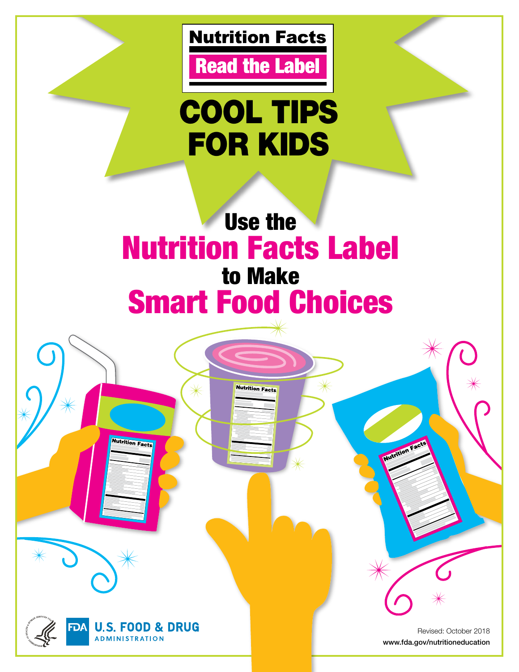

**Read the Label** 

# COOL TIPS FOR KIDS

# Use the Nutrition Facts Label to Make Smart Food Choices

**Nutrition Facts** 



**Nutrition Facts** 

Revised: October 2018 [www.fda.gov/nutritioneducation](http://www.fda.gov/nutritioneducation)

**Nutrition Fa**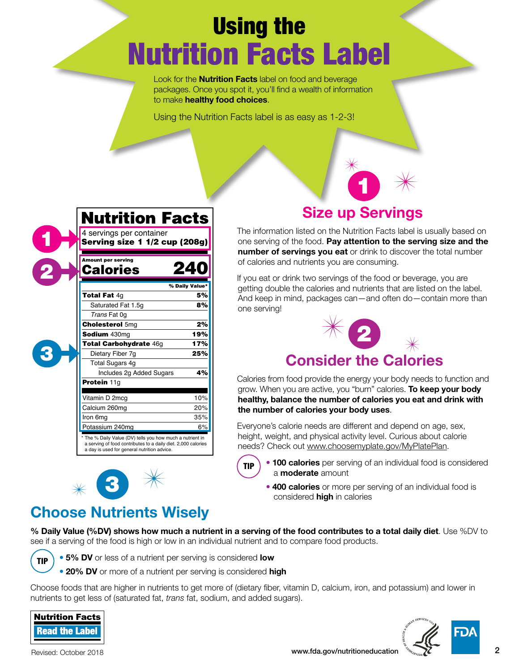# Using the Nutrition Facts Label

Look for the **Nutrition Facts** label on food and beverage packages. Once you spot it, you'll find a wealth of information to make healthy food choices.

Using the Nutrition Facts label is as easy as 1-2-3!

| <b>Nutrition Facts</b>                                                                                                                                                  |                |
|-------------------------------------------------------------------------------------------------------------------------------------------------------------------------|----------------|
| 4 servings per container                                                                                                                                                |                |
| Serving size 1 1/2 cup (208g)                                                                                                                                           |                |
| <b>Amount per serving</b><br><b>Calories</b>                                                                                                                            | 240            |
|                                                                                                                                                                         | % Daily Value* |
| <b>Total Fat 4g</b>                                                                                                                                                     | 5%             |
| Saturated Fat 1.5q                                                                                                                                                      | 8%             |
| Trans Fat 0q                                                                                                                                                            |                |
| <b>Cholesterol 5mg</b>                                                                                                                                                  | 2%             |
| Sodium 430mg                                                                                                                                                            | 19%            |
| <b>Total Carbohydrate 46g</b>                                                                                                                                           | 17%            |
| Dietary Fiber 7q                                                                                                                                                        | 25%            |
| <b>Total Sugars 4g</b>                                                                                                                                                  |                |
| Includes 2g Added Sugars                                                                                                                                                | 4%             |
| Protein 11g                                                                                                                                                             |                |
| Vitamin D 2mcg                                                                                                                                                          | 10%            |
| Calcium 260mg                                                                                                                                                           | 20%            |
| Iron 6mg                                                                                                                                                                | 35%            |
| Potassium 240mg                                                                                                                                                         | 6%             |
| The % Daily Value (DV) tells you how much a nutrient in<br>a serving of food contributes to a daily diet. 2,000 calories<br>a day is used for general nutrition advice. |                |

## Size up Servings

1

The information listed on the Nutrition Facts label is usually based on one serving of the food. Pay attention to the serving size and the number of servings you eat or drink to discover the total number of calories and nutrients you are consuming.

If you eat or drink two servings of the food or beverage, you are getting double the calories and nutrients that are listed on the label. And keep in mind, packages can—and often do—contain more than one serving!



Calories from food provide the energy your body needs to function and grow. When you are active, you "burn" calories. To keep your body healthy, balance the number of calories you eat and drink with the number of calories your body uses.

Everyone's calorie needs are different and depend on age, sex, height, weight, and physical activity level. Curious about calorie needs? Check out [www.choosemyplate.gov/MyPlatePlan](http://www.choosemyplate.gov/MyPlatePlan).



- 100 calories per serving of an individual food is considered a **moderate** amount
- 400 calories or more per serving of an individual food is considered **high** in calories

## Choose Nutrients Wisely

3

% Daily Value (%DV) shows how much a nutrient in a serving of the food contributes to a total daily diet. Use %DV to see if a serving of the food is high or low in an individual nutrient and to compare food products.



1

2

3

• 5% DV or less of a nutrient per serving is considered low

• 20% DV or more of a nutrient per serving is considered high

Choose foods that are higher in nutrients to get more of (dietary fiber, vitamin D, calcium, iron, and potassium) and lower in nutrients to get less of (saturated fat, *trans* fat, sodium, and added sugars).



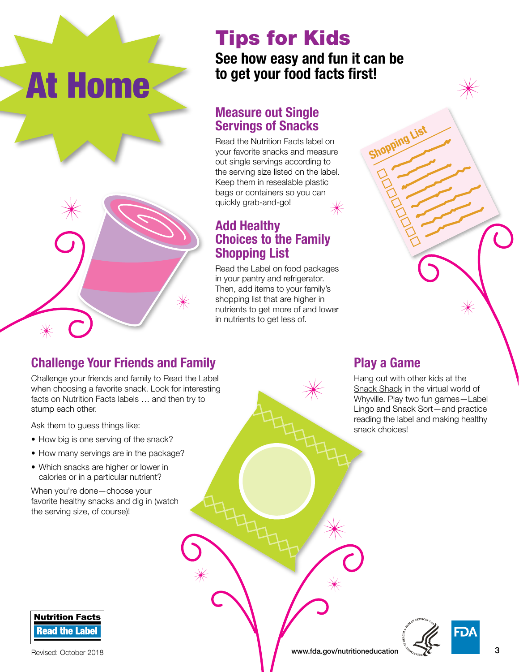# Tips for Kids

#### See how easy and fun it can be to get your food facts first!

#### **Measure out Single Servings of Snacks**

Read the Nutrition Facts label on your favorite snacks and measure out single servings according to the serving size listed on the label. Keep them in resealable plastic bags or containers so you can quickly grab-and-go!

#### **Add Healthy Choices to the Family Shopping List**

Read the Label on food packages in your pantry and refrigerator. Then, add items to your family's shopping list that are higher in nutrients to get more of and lower in nutrients to get less of.

## **Challenge Your Friends and Family**

Challenge your friends and family to Read the Label when choosing a favorite snack. Look for interesting facts on Nutrition Facts labels … and then try to stump each other.

Ask them to guess things like:

At Home

- How big is one serving of the snack?
- How many servings are in the package?
- Which snacks are higher or lower in calories or in a particular nutrient?

When you're done—choose your favorite healthy snacks and dig in (watch the serving size, of course)!



# **Play a Game** Hang out with other kids at the [Snack Shack](http://www.whyville.net/smmk/top/gates/flax) in the virtual world of Whyville. Play two fun games—Label Lingo and Snack Sort—and practice reading the label and making healthy

snack choices!

Shopping

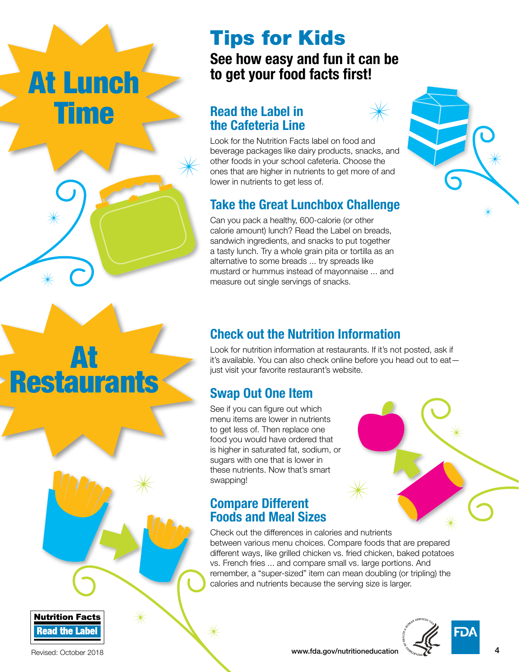# At Lunch Time

At

**Restaurants** 

## Tips for Kids

#### See how easy and fun it can be to get your food facts first!

#### **Read the Label in the Cafeteria Line**



Look for the Nutrition Facts label on food and beverage packages like dairy products, snacks, and other foods in your school cafeteria. Choose the ones that are higher in nutrients to get more of and lower in nutrients to get less of.

#### **Take the Great Lunchbox Challenge**

Can you pack a healthy, 600-calorie (or other calorie amount) lunch? Read the Label on breads, sandwich ingredients, and snacks to put together a tasty lunch. Try a whole grain pita or tortilla as an alternative to some breads ... try spreads like mustard or hummus instead of mayonnaise ... and measure out single servings of snacks.



#### **Check out the Nutrition Information**

Look for nutrition information at restaurants. If it's not posted, ask if it's available. You can also check online before you head out to eat just visit your favorite restaurant's website.

#### **Swap Out One Item**

See if you can figure out which menu items are lower in nutrients to get less of. Then replace one food you would have ordered that is higher in saturated fat, sodium, or sugars with one that is lower in these nutrients. Now that's smart swapping!

#### **Compare Different Foods and Meal Sizes**

Check out the differences in calories and nutrients between various menu choices. Compare foods that are prepared different ways, like grilled chicken vs. fried chicken, baked potatoes vs. French fries ... and compare small vs. large portions. And remember, a "super-sized" item can mean doubling (or tripling) the calories and nutrients because the serving size is larger.



#### Revised: October 2018 **and Contract Contract Contract Contract Contract Contract Contract Contract Contract Contract Contract Contract Contract Contract Contract Contract Contract Contract Contract Contract Contract Contra**

**Read the Label** 

**Nutrition Facts**